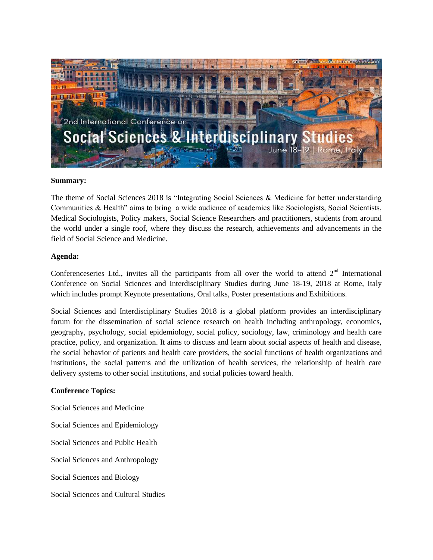

## **Summary:**

The theme of Social Sciences 2018 is "Integrating Social Sciences & Medicine for better understanding Communities & Health" aims to bring a wide audience of academics like Sociologists, Social Scientists, Medical Sociologists, Policy makers, Social Science Researchers and practitioners, students from around the world under a single roof, where they discuss the research, achievements and advancements in the field of Social Science and Medicine.

# **Agenda:**

Conferenceseries Ltd., invites all the participants from all over the world to attend  $2<sup>nd</sup>$  International Conference on Social Sciences and Interdisciplinary Studies during June 18-19, 2018 at Rome, Italy which includes prompt Keynote presentations, Oral talks, Poster presentations and Exhibitions.

Social Sciences and Interdisciplinary Studies 2018 is a global platform provides an interdisciplinary forum for the dissemination of social science research on health including anthropology, economics, geography, psychology, social epidemiology, social policy, sociology, law, criminology and health care practice, policy, and organization. It aims to discuss and learn about social aspects of health and disease, the social behavior of patients and health care providers, the social functions of health organizations and institutions, the social patterns and the utilization of health services, the relationship of health care delivery systems to other social institutions, and social policies toward health.

# **Conference Topics:**

Social Sciences and Medicine Social Sciences and Epidemiology Social Sciences and Public Health Social Sciences and Anthropology Social Sciences and Biology Social Sciences and Cultural Studies